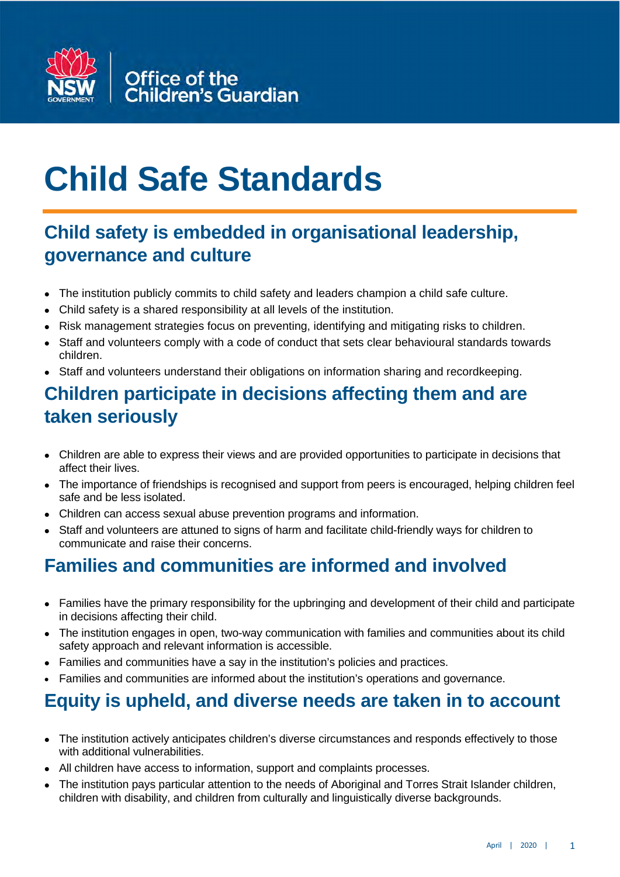

# **Child Safe Standards**

## **Child safety is embedded in organisational leadership, governance and culture**

- The institution publicly commits to child safety and leaders champion a child safe culture.
- Child safety is a shared responsibility at all levels of the institution.
- Risk management strategies focus on preventing, identifying and mitigating risks to children.
- Staff and volunteers comply with a code of conduct that sets clear behavioural standards towards children.
- Staff and volunteers understand their obligations on information sharing and recordkeeping.

### **Children participate in decisions affecting them and are taken seriously**

- Children are able to express their views and are provided opportunities to participate in decisions that affect their lives.
- The importance of friendships is recognised and support from peers is encouraged, helping children feel safe and be less isolated.
- Children can access sexual abuse prevention programs and information.
- Staff and volunteers are attuned to signs of harm and facilitate child-friendly ways for children to communicate and raise their concerns.

### **Families and communities are informed and involved**

- Families have the primary responsibility for the upbringing and development of their child and participate in decisions affecting their child.
- The institution engages in open, two-way communication with families and communities about its child safety approach and relevant information is accessible.
- Families and communities have a say in the institution's policies and practices.
- Families and communities are informed about the institution's operations and governance.

## **Equity is upheld, and diverse needs are taken in to account**

- The institution actively anticipates children's diverse circumstances and responds effectively to those with additional vulnerabilities.
- All children have access to information, support and complaints processes.
- The institution pays particular attention to the needs of Aboriginal and Torres Strait Islander children, children with disability, and children from culturally and linguistically diverse backgrounds.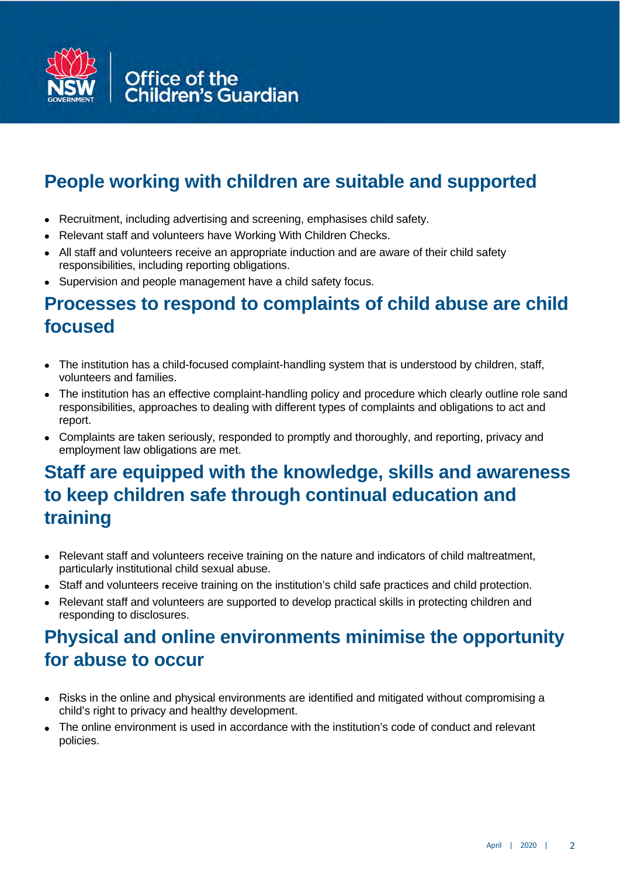

## **People working with children are suitable and supported**

- Recruitment, including advertising and screening, emphasises child safety.
- Relevant staff and volunteers have Working With Children Checks.
- All staff and volunteers receive an appropriate induction and are aware of their child safety responsibilities, including reporting obligations.
- Supervision and people management have a child safety focus.

#### **Processes to respond to complaints of child abuse are child focused**

- The institution has a child-focused complaint-handling system that is understood by children, staff, volunteers and families.
- The institution has an effective complaint-handling policy and procedure which clearly outline role sand responsibilities, approaches to dealing with different types of complaints and obligations to act and report.
- Complaints are taken seriously, responded to promptly and thoroughly, and reporting, privacy and employment law obligations are met.

## **Staff are equipped with the knowledge, skills and awareness to keep children safe through continual education and training**

- Relevant staff and volunteers receive training on the nature and indicators of child maltreatment, particularly institutional child sexual abuse.
- Staff and volunteers receive training on the institution's child safe practices and child protection.
- Relevant staff and volunteers are supported to develop practical skills in protecting children and responding to disclosures.

## **Physical and online environments minimise the opportunity for abuse to occur**

- Risks in the online and physical environments are identified and mitigated without compromising a child's right to privacy and healthy development.
- The online environment is used in accordance with the institution's code of conduct and relevant policies.